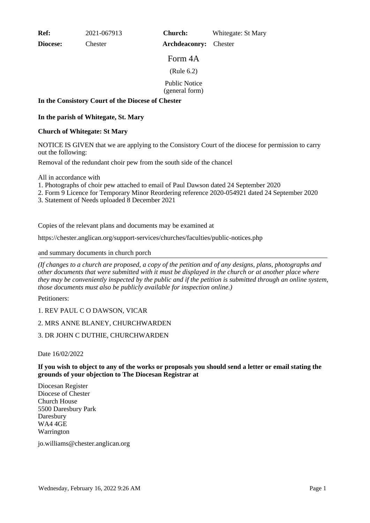**Ref:** 2021-067913

**Diocese:** Chester

**Church:** Whitegate: St Mary

Form 4A

**Archdeaconry:** Chester

(Rule 6.2)

Public Notice

(general form)

# **In the Consistory Court of the Diocese of Chester**

# **In the parish of Whitegate, St. Mary**

#### **Church of Whitegate: St Mary**

NOTICE IS GIVEN that we are applying to the Consistory Court of the diocese for permission to carry out the following:

Removal of the redundant choir pew from the south side of the chancel

All in accordance with

- 1. Photographs of choir pew attached to email of Paul Dawson dated 24 September 2020
- 2. Form 9 Licence for Temporary Minor Reordering reference 2020-054921 dated 24 September 2020
- 3. Statement of Needs uploaded 8 December 2021

Copies of the relevant plans and documents may be examined at

https://chester.anglican.org/support-services/churches/faculties/public-notices.php

#### and summary documents in church porch

*(If changes to a church are proposed, a copy of the petition and of any designs, plans, photographs and other documents that were submitted with it must be displayed in the church or at another place where they may be conveniently inspected by the public and if the petition is submitted through an online system, those documents must also be publicly available for inspection online.)*

Petitioners:

1. REV PAUL C O DAWSON, VICAR

# 2. MRS ANNE BLANEY, CHURCHWARDEN

# 3. DR JOHN C DUTHIE, CHURCHWARDEN

Date 16/02/2022

#### **If you wish to object to any of the works or proposals you should send a letter or email stating the grounds of your objection to The Diocesan Registrar at**

Diocesan Register Diocese of Chester Church House 5500 Daresbury Park Daresbury WA4 4GE Warrington

jo.williams@chester.anglican.org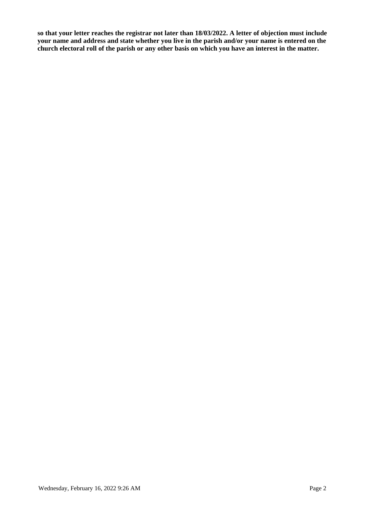**so that your letter reaches the registrar not later than 18/03/2022. A letter of objection must include your name and address and state whether you live in the parish and/or your name is entered on the church electoral roll of the parish or any other basis on which you have an interest in the matter.**